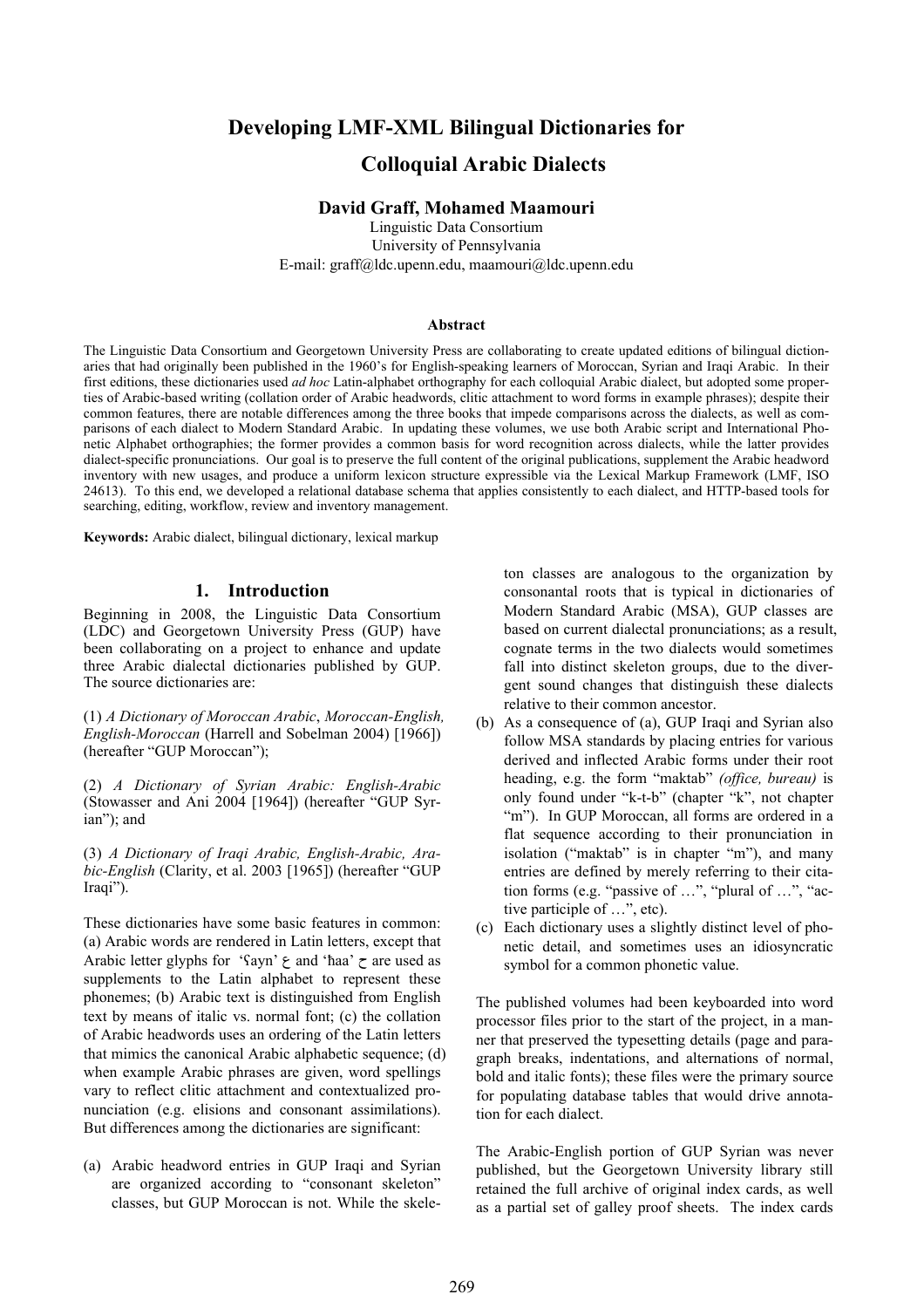# **Developing LMF-XML Bilingual Dictionaries for Colloquial Arabic Dialects**

### **David Graff, Mohamed Maamouri**

Linguistic Data Consortium University of Pennsylvania E-mail: graff@ldc.upenn.edu, maamouri@ldc.upenn.edu

#### **Abstract**

The Linguistic Data Consortium and Georgetown University Press are collaborating to create updated editions of bilingual dictionaries that had originally been published in the 1960's for English-speaking learners of Moroccan, Syrian and Iraqi Arabic. In their first editions, these dictionaries used *ad hoc* Latin-alphabet orthography for each colloquial Arabic dialect, but adopted some properties of Arabic-based writing (collation order of Arabic headwords, clitic attachment to word forms in example phrases); despite their common features, there are notable differences among the three books that impede comparisons across the dialects, as well as comparisons of each dialect to Modern Standard Arabic. In updating these volumes, we use both Arabic script and International Phonetic Alphabet orthographies; the former provides a common basis for word recognition across dialects, while the latter provides dialect-specific pronunciations. Our goal is to preserve the full content of the original publications, supplement the Arabic headword inventory with new usages, and produce a uniform lexicon structure expressible via the Lexical Markup Framework (LMF, ISO 24613). To this end, we developed a relational database schema that applies consistently to each dialect, and HTTP-based tools for searching, editing, workflow, review and inventory management.

**Keywords:** Arabic dialect, bilingual dictionary, lexical markup

### **1. Introduction**

Beginning in 2008, the Linguistic Data Consortium (LDC) and Georgetown University Press (GUP) have been collaborating on a project to enhance and update three Arabic dialectal dictionaries published by GUP. The source dictionaries are:

(1) *A Dictionary of Moroccan Arabic*, *Moroccan-English, English-Moroccan* (Harrell and Sobelman 2004) [1966]) (hereafter "GUP Moroccan");

(2) *A Dictionary of Syrian Arabic: English-Arabic* (Stowasser and Ani 2004 [1964]) (hereafter "GUP Syrian"); and

(3) *A Dictionary of Iraqi Arabic, English-Arabic, Arabic-English* (Clarity, et al. 2003 [1965]) (hereafter "GUP Iraqi").

These dictionaries have some basic features in common: (a) Arabic words are rendered in Latin letters, except that Arabic letter glyphs for ' $\gamma$ ayn'  $\gamma$  and 'haa'  $\tau$  are used as supplements to the Latin alphabet to represent these phonemes; (b) Arabic text is distinguished from English text by means of italic vs. normal font; (c) the collation of Arabic headwords uses an ordering of the Latin letters that mimics the canonical Arabic alphabetic sequence; (d) when example Arabic phrases are given, word spellings vary to reflect clitic attachment and contextualized pronunciation (e.g. elisions and consonant assimilations). But differences among the dictionaries are significant:

(a) Arabic headword entries in GUP Iraqi and Syrian are organized according to "consonant skeleton" classes, but GUP Moroccan is not. While the skele-

ton classes are analogous to the organization by consonantal roots that is typical in dictionaries of Modern Standard Arabic (MSA), GUP classes are based on current dialectal pronunciations; as a result, cognate terms in the two dialects would sometimes fall into distinct skeleton groups, due to the divergent sound changes that distinguish these dialects relative to their common ancestor.

- (b) As a consequence of (a), GUP Iraqi and Syrian also follow MSA standards by placing entries for various derived and inflected Arabic forms under their root heading, e.g. the form "maktab" *(office, bureau)* is only found under "k-t-b" (chapter "k", not chapter "m"). In GUP Moroccan, all forms are ordered in a flat sequence according to their pronunciation in isolation ("maktab" is in chapter "m"), and many entries are defined by merely referring to their citation forms (e.g. "passive of …", "plural of …", "active participle of …", etc).
- (c) Each dictionary uses a slightly distinct level of phonetic detail, and sometimes uses an idiosyncratic symbol for a common phonetic value.

The published volumes had been keyboarded into word processor files prior to the start of the project, in a manner that preserved the typesetting details (page and paragraph breaks, indentations, and alternations of normal, bold and italic fonts); these files were the primary source for populating database tables that would drive annotation for each dialect.

The Arabic-English portion of GUP Syrian was never published, but the Georgetown University library still retained the full archive of original index cards, as well as a partial set of galley proof sheets. The index cards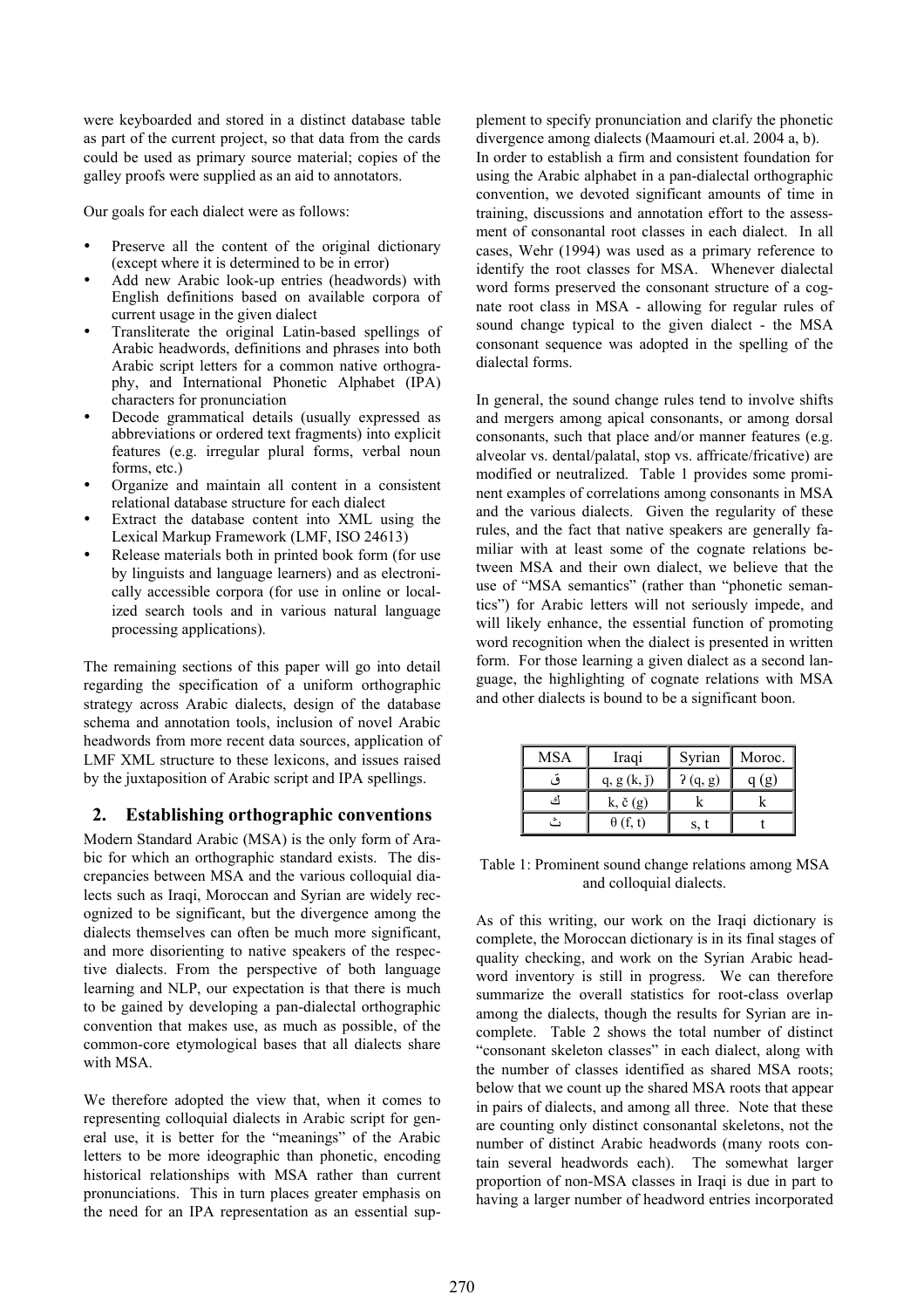were keyboarded and stored in a distinct database table as part of the current project, so that data from the cards could be used as primary source material; copies of the galley proofs were supplied as an aid to annotators.

Our goals for each dialect were as follows:

- Preserve all the content of the original dictionary (except where it is determined to be in error)
- Add new Arabic look-up entries (headwords) with English definitions based on available corpora of current usage in the given dialect
- Transliterate the original Latin-based spellings of Arabic headwords, definitions and phrases into both Arabic script letters for a common native orthography, and International Phonetic Alphabet (IPA) characters for pronunciation
- Decode grammatical details (usually expressed as abbreviations or ordered text fragments) into explicit features (e.g. irregular plural forms, verbal noun forms, etc.)
- Organize and maintain all content in a consistent relational database structure for each dialect
- Extract the database content into XML using the Lexical Markup Framework (LMF, ISO 24613)
- Release materials both in printed book form (for use by linguists and language learners) and as electronically accessible corpora (for use in online or localized search tools and in various natural language processing applications).

The remaining sections of this paper will go into detail regarding the specification of a uniform orthographic strategy across Arabic dialects, design of the database schema and annotation tools, inclusion of novel Arabic headwords from more recent data sources, application of LMF XML structure to these lexicons, and issues raised by the juxtaposition of Arabic script and IPA spellings.

### **2. Establishing orthographic conventions**

Modern Standard Arabic (MSA) is the only form of Arabic for which an orthographic standard exists. The discrepancies between MSA and the various colloquial dialects such as Iraqi, Moroccan and Syrian are widely recognized to be significant, but the divergence among the dialects themselves can often be much more significant, and more disorienting to native speakers of the respective dialects. From the perspective of both language learning and NLP, our expectation is that there is much to be gained by developing a pan-dialectal orthographic convention that makes use, as much as possible, of the common-core etymological bases that all dialects share with MSA.

We therefore adopted the view that, when it comes to representing colloquial dialects in Arabic script for general use, it is better for the "meanings" of the Arabic letters to be more ideographic than phonetic, encoding historical relationships with MSA rather than current pronunciations. This in turn places greater emphasis on the need for an IPA representation as an essential sup-

plement to specify pronunciation and clarify the phonetic divergence among dialects (Maamouri et.al. 2004 a, b). In order to establish a firm and consistent foundation for using the Arabic alphabet in a pan-dialectal orthographic convention, we devoted significant amounts of time in training, discussions and annotation effort to the assessment of consonantal root classes in each dialect. In all cases, Wehr (1994) was used as a primary reference to identify the root classes for MSA. Whenever dialectal word forms preserved the consonant structure of a cognate root class in MSA - allowing for regular rules of sound change typical to the given dialect - the MSA consonant sequence was adopted in the spelling of the dialectal forms.

In general, the sound change rules tend to involve shifts and mergers among apical consonants, or among dorsal consonants, such that place and/or manner features (e.g. alveolar vs. dental/palatal, stop vs. affricate/fricative) are modified or neutralized. Table 1 provides some prominent examples of correlations among consonants in MSA and the various dialects. Given the regularity of these rules, and the fact that native speakers are generally familiar with at least some of the cognate relations between MSA and their own dialect, we believe that the use of "MSA semantics" (rather than "phonetic semantics") for Arabic letters will not seriously impede, and will likely enhance, the essential function of promoting word recognition when the dialect is presented in written form. For those learning a given dialect as a second language, the highlighting of cognate relations with MSA and other dialects is bound to be a significant boon.

| <b>MSA</b> | Iraqi              | Syrian  | Moroc. |
|------------|--------------------|---------|--------|
|            | q, g(k, j)         | 2(q, g) | (g)    |
| ئى         | $k, \check{c}$ (g) |         |        |
|            | $\theta$ (f, t)    |         |        |

Table 1: Prominent sound change relations among MSA and colloquial dialects.

As of this writing, our work on the Iraqi dictionary is complete, the Moroccan dictionary is in its final stages of quality checking, and work on the Syrian Arabic headword inventory is still in progress. We can therefore summarize the overall statistics for root-class overlap among the dialects, though the results for Syrian are incomplete. Table 2 shows the total number of distinct "consonant skeleton classes" in each dialect, along with the number of classes identified as shared MSA roots; below that we count up the shared MSA roots that appear in pairs of dialects, and among all three. Note that these are counting only distinct consonantal skeletons, not the number of distinct Arabic headwords (many roots contain several headwords each). The somewhat larger proportion of non-MSA classes in Iraqi is due in part to having a larger number of headword entries incorporated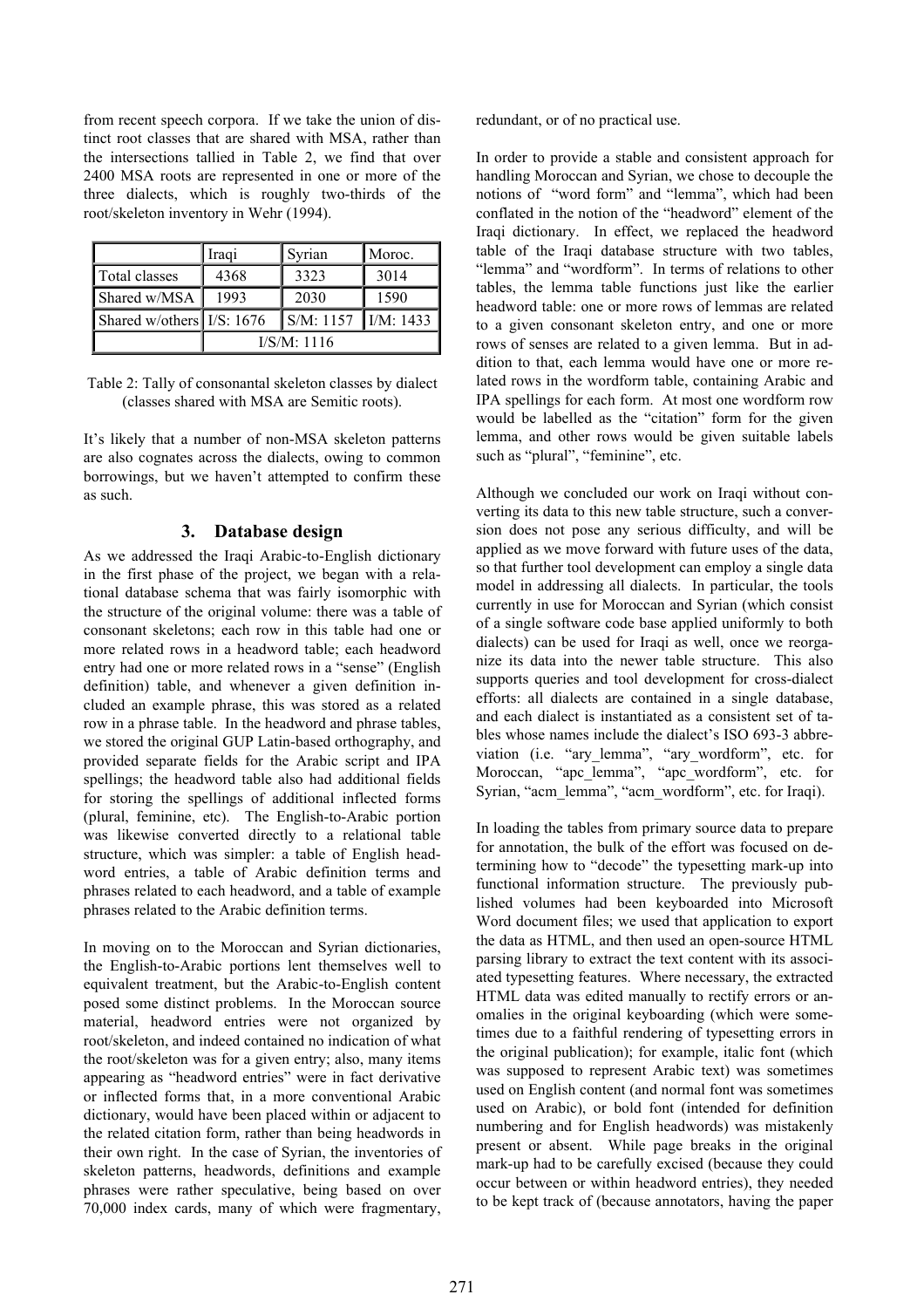from recent speech corpora. If we take the union of distinct root classes that are shared with MSA, rather than the intersections tallied in Table 2, we find that over 2400 MSA roots are represented in one or more of the three dialects, which is roughly two-thirds of the root/skeleton inventory in Wehr (1994).

|                              | Iraqi       | Syrian                         | Moroc.    |
|------------------------------|-------------|--------------------------------|-----------|
| Total classes                | 4368        | 3323                           | 3014      |
| Shared w/MSA                 | 1993        | 2030                           | 1590      |
| Shared w/others $I/S$ : 1676 |             | $\mathbf{S}/\mathbf{M}$ : 1157 | I/M: 1433 |
|                              | I/S/M: 1116 |                                |           |

Table 2: Tally of consonantal skeleton classes by dialect (classes shared with MSA are Semitic roots).

It's likely that a number of non-MSA skeleton patterns are also cognates across the dialects, owing to common borrowings, but we haven't attempted to confirm these as such.

### **3. Database design**

As we addressed the Iraqi Arabic-to-English dictionary in the first phase of the project, we began with a relational database schema that was fairly isomorphic with the structure of the original volume: there was a table of consonant skeletons; each row in this table had one or more related rows in a headword table; each headword entry had one or more related rows in a "sense" (English definition) table, and whenever a given definition included an example phrase, this was stored as a related row in a phrase table. In the headword and phrase tables, we stored the original GUP Latin-based orthography, and provided separate fields for the Arabic script and IPA spellings; the headword table also had additional fields for storing the spellings of additional inflected forms (plural, feminine, etc). The English-to-Arabic portion was likewise converted directly to a relational table structure, which was simpler: a table of English headword entries, a table of Arabic definition terms and phrases related to each headword, and a table of example phrases related to the Arabic definition terms.

In moving on to the Moroccan and Syrian dictionaries, the English-to-Arabic portions lent themselves well to equivalent treatment, but the Arabic-to-English content posed some distinct problems. In the Moroccan source material, headword entries were not organized by root/skeleton, and indeed contained no indication of what the root/skeleton was for a given entry; also, many items appearing as "headword entries" were in fact derivative or inflected forms that, in a more conventional Arabic dictionary, would have been placed within or adjacent to the related citation form, rather than being headwords in their own right. In the case of Syrian, the inventories of skeleton patterns, headwords, definitions and example phrases were rather speculative, being based on over 70,000 index cards, many of which were fragmentary, redundant, or of no practical use.

In order to provide a stable and consistent approach for handling Moroccan and Syrian, we chose to decouple the notions of "word form" and "lemma", which had been conflated in the notion of the "headword" element of the Iraqi dictionary. In effect, we replaced the headword table of the Iraqi database structure with two tables, "lemma" and "wordform". In terms of relations to other tables, the lemma table functions just like the earlier headword table: one or more rows of lemmas are related to a given consonant skeleton entry, and one or more rows of senses are related to a given lemma. But in addition to that, each lemma would have one or more related rows in the wordform table, containing Arabic and IPA spellings for each form. At most one wordform row would be labelled as the "citation" form for the given lemma, and other rows would be given suitable labels such as "plural", "feminine", etc.

Although we concluded our work on Iraqi without converting its data to this new table structure, such a conversion does not pose any serious difficulty, and will be applied as we move forward with future uses of the data, so that further tool development can employ a single data model in addressing all dialects. In particular, the tools currently in use for Moroccan and Syrian (which consist of a single software code base applied uniformly to both dialects) can be used for Iraqi as well, once we reorganize its data into the newer table structure. This also supports queries and tool development for cross-dialect efforts: all dialects are contained in a single database, and each dialect is instantiated as a consistent set of tables whose names include the dialect's ISO 693-3 abbreviation (i.e. "ary\_lemma", "ary\_wordform", etc. for Moroccan, "apc\_lemma", "apc\_wordform", etc. for Syrian, "acm\_lemma", "acm\_wordform", etc. for Iraqi).

In loading the tables from primary source data to prepare for annotation, the bulk of the effort was focused on determining how to "decode" the typesetting mark-up into functional information structure. The previously published volumes had been keyboarded into Microsoft Word document files; we used that application to export the data as HTML, and then used an open-source HTML parsing library to extract the text content with its associated typesetting features. Where necessary, the extracted HTML data was edited manually to rectify errors or anomalies in the original keyboarding (which were sometimes due to a faithful rendering of typesetting errors in the original publication); for example, italic font (which was supposed to represent Arabic text) was sometimes used on English content (and normal font was sometimes used on Arabic), or bold font (intended for definition numbering and for English headwords) was mistakenly present or absent. While page breaks in the original mark-up had to be carefully excised (because they could occur between or within headword entries), they needed to be kept track of (because annotators, having the paper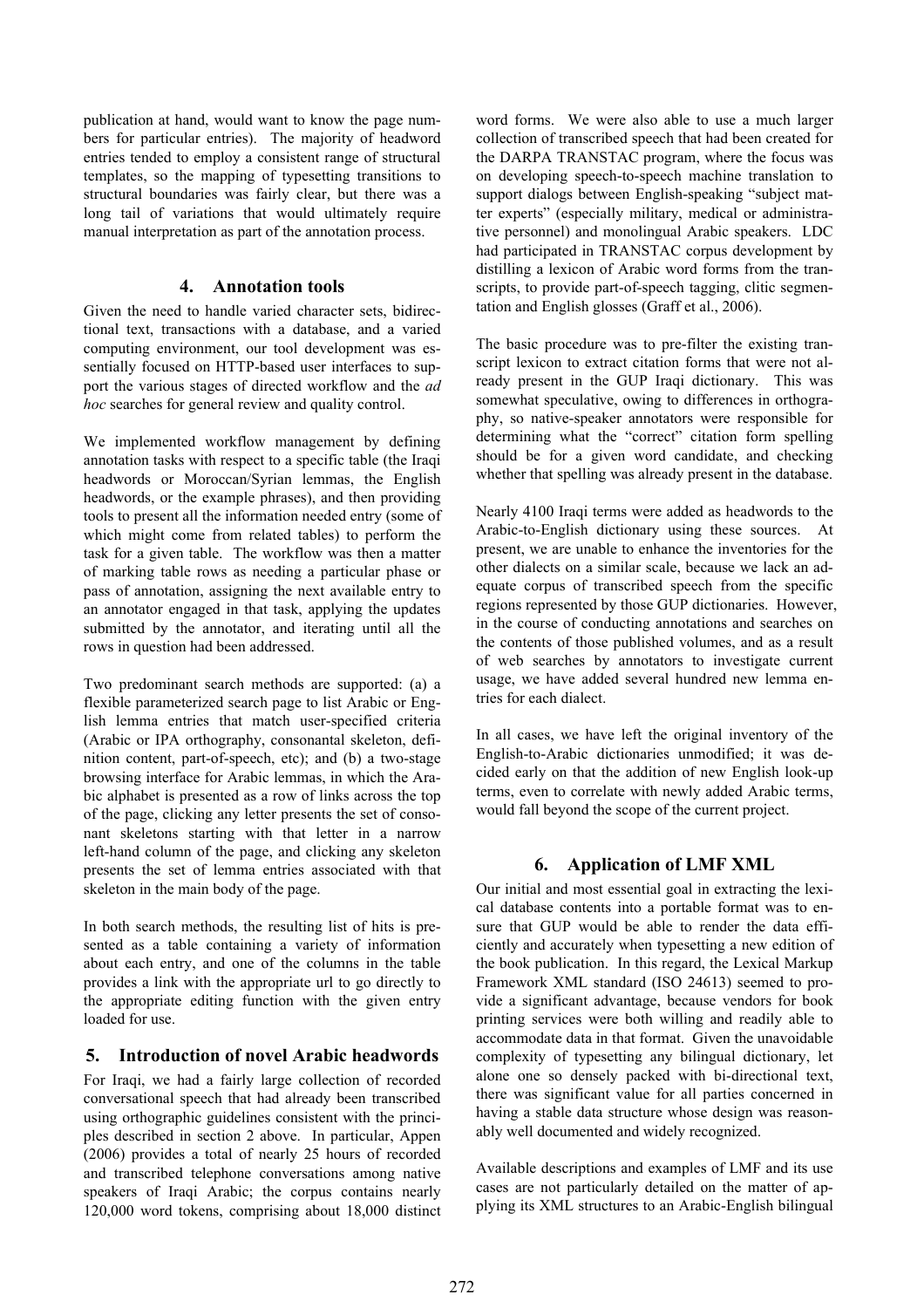publication at hand, would want to know the page numbers for particular entries). The majority of headword entries tended to employ a consistent range of structural templates, so the mapping of typesetting transitions to structural boundaries was fairly clear, but there was a long tail of variations that would ultimately require manual interpretation as part of the annotation process.

### **4. Annotation tools**

Given the need to handle varied character sets, bidirectional text, transactions with a database, and a varied computing environment, our tool development was essentially focused on HTTP-based user interfaces to support the various stages of directed workflow and the *ad hoc* searches for general review and quality control.

We implemented workflow management by defining annotation tasks with respect to a specific table (the Iraqi headwords or Moroccan/Syrian lemmas, the English headwords, or the example phrases), and then providing tools to present all the information needed entry (some of which might come from related tables) to perform the task for a given table. The workflow was then a matter of marking table rows as needing a particular phase or pass of annotation, assigning the next available entry to an annotator engaged in that task, applying the updates submitted by the annotator, and iterating until all the rows in question had been addressed.

Two predominant search methods are supported: (a) a flexible parameterized search page to list Arabic or English lemma entries that match user-specified criteria (Arabic or IPA orthography, consonantal skeleton, definition content, part-of-speech, etc); and (b) a two-stage browsing interface for Arabic lemmas, in which the Arabic alphabet is presented as a row of links across the top of the page, clicking any letter presents the set of consonant skeletons starting with that letter in a narrow left-hand column of the page, and clicking any skeleton presents the set of lemma entries associated with that skeleton in the main body of the page.

In both search methods, the resulting list of hits is presented as a table containing a variety of information about each entry, and one of the columns in the table provides a link with the appropriate url to go directly to the appropriate editing function with the given entry loaded for use.

## **5. Introduction of novel Arabic headwords**

For Iraqi, we had a fairly large collection of recorded conversational speech that had already been transcribed using orthographic guidelines consistent with the principles described in section 2 above. In particular, Appen (2006) provides a total of nearly 25 hours of recorded and transcribed telephone conversations among native speakers of Iraqi Arabic; the corpus contains nearly 120,000 word tokens, comprising about 18,000 distinct word forms. We were also able to use a much larger collection of transcribed speech that had been created for the DARPA TRANSTAC program, where the focus was on developing speech-to-speech machine translation to support dialogs between English-speaking "subject matter experts" (especially military, medical or administrative personnel) and monolingual Arabic speakers. LDC had participated in TRANSTAC corpus development by distilling a lexicon of Arabic word forms from the transcripts, to provide part-of-speech tagging, clitic segmentation and English glosses (Graff et al., 2006).

The basic procedure was to pre-filter the existing transcript lexicon to extract citation forms that were not already present in the GUP Iraqi dictionary. This was somewhat speculative, owing to differences in orthography, so native-speaker annotators were responsible for determining what the "correct" citation form spelling should be for a given word candidate, and checking whether that spelling was already present in the database.

Nearly 4100 Iraqi terms were added as headwords to the Arabic-to-English dictionary using these sources. At present, we are unable to enhance the inventories for the other dialects on a similar scale, because we lack an adequate corpus of transcribed speech from the specific regions represented by those GUP dictionaries. However, in the course of conducting annotations and searches on the contents of those published volumes, and as a result of web searches by annotators to investigate current usage, we have added several hundred new lemma entries for each dialect.

In all cases, we have left the original inventory of the English-to-Arabic dictionaries unmodified; it was decided early on that the addition of new English look-up terms, even to correlate with newly added Arabic terms, would fall beyond the scope of the current project.

### **6. Application of LMF XML**

Our initial and most essential goal in extracting the lexical database contents into a portable format was to ensure that GUP would be able to render the data efficiently and accurately when typesetting a new edition of the book publication. In this regard, the Lexical Markup Framework XML standard (ISO 24613) seemed to provide a significant advantage, because vendors for book printing services were both willing and readily able to accommodate data in that format. Given the unavoidable complexity of typesetting any bilingual dictionary, let alone one so densely packed with bi-directional text, there was significant value for all parties concerned in having a stable data structure whose design was reasonably well documented and widely recognized.

Available descriptions and examples of LMF and its use cases are not particularly detailed on the matter of applying its XML structures to an Arabic-English bilingual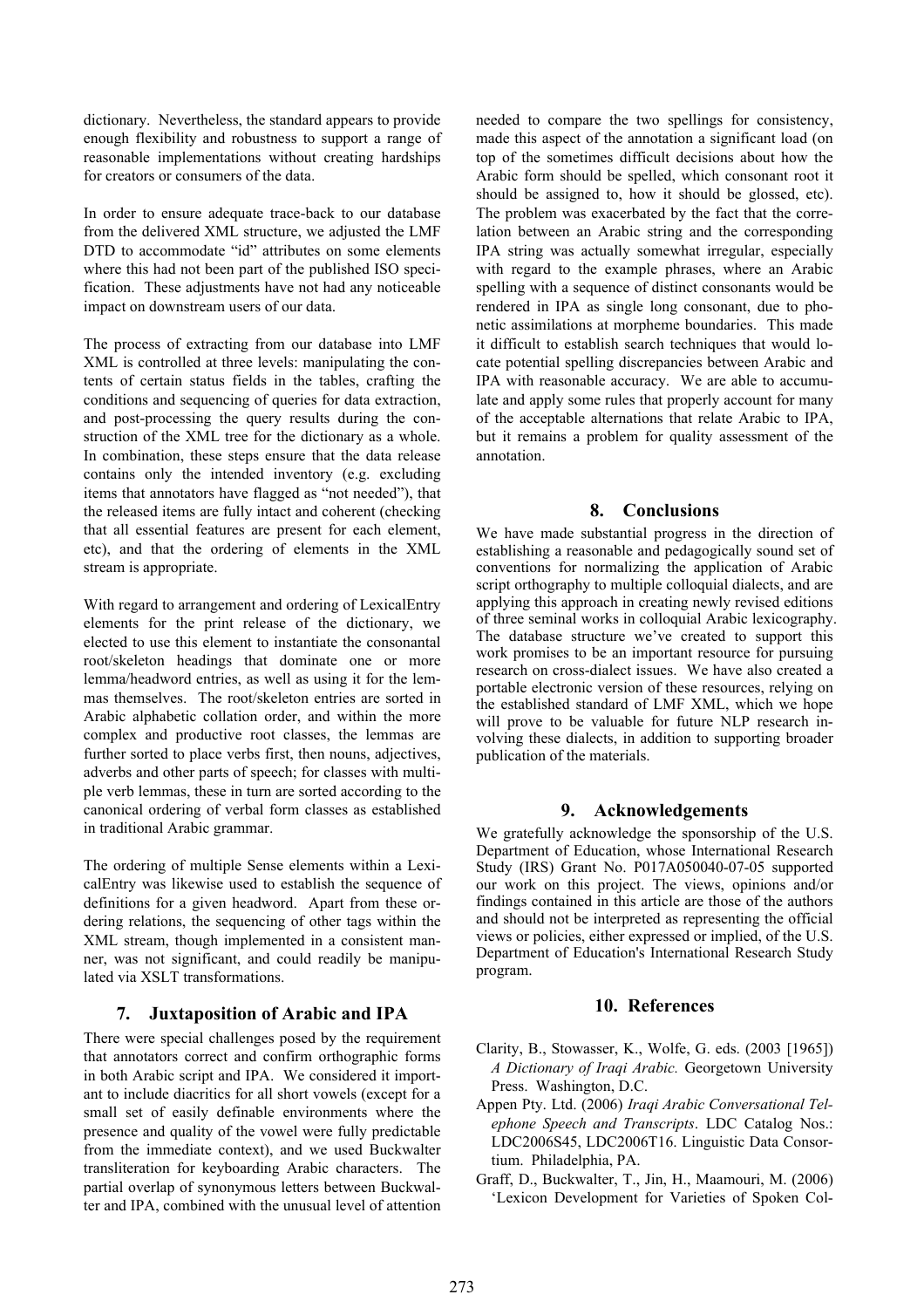dictionary. Nevertheless, the standard appears to provide enough flexibility and robustness to support a range of reasonable implementations without creating hardships for creators or consumers of the data.

In order to ensure adequate trace-back to our database from the delivered XML structure, we adjusted the LMF DTD to accommodate "id" attributes on some elements where this had not been part of the published ISO specification. These adjustments have not had any noticeable impact on downstream users of our data.

The process of extracting from our database into LMF XML is controlled at three levels: manipulating the contents of certain status fields in the tables, crafting the conditions and sequencing of queries for data extraction, and post-processing the query results during the construction of the XML tree for the dictionary as a whole. In combination, these steps ensure that the data release contains only the intended inventory (e.g. excluding items that annotators have flagged as "not needed"), that the released items are fully intact and coherent (checking that all essential features are present for each element, etc), and that the ordering of elements in the XML stream is appropriate.

With regard to arrangement and ordering of LexicalEntry elements for the print release of the dictionary, we elected to use this element to instantiate the consonantal root/skeleton headings that dominate one or more lemma/headword entries, as well as using it for the lemmas themselves. The root/skeleton entries are sorted in Arabic alphabetic collation order, and within the more complex and productive root classes, the lemmas are further sorted to place verbs first, then nouns, adjectives, adverbs and other parts of speech; for classes with multiple verb lemmas, these in turn are sorted according to the canonical ordering of verbal form classes as established in traditional Arabic grammar.

The ordering of multiple Sense elements within a LexicalEntry was likewise used to establish the sequence of definitions for a given headword. Apart from these ordering relations, the sequencing of other tags within the XML stream, though implemented in a consistent manner, was not significant, and could readily be manipulated via XSLT transformations.

### **7. Juxtaposition of Arabic and IPA**

There were special challenges posed by the requirement that annotators correct and confirm orthographic forms in both Arabic script and IPA. We considered it important to include diacritics for all short vowels (except for a small set of easily definable environments where the presence and quality of the vowel were fully predictable from the immediate context), and we used Buckwalter transliteration for keyboarding Arabic characters. The partial overlap of synonymous letters between Buckwalter and IPA, combined with the unusual level of attention

needed to compare the two spellings for consistency, made this aspect of the annotation a significant load (on top of the sometimes difficult decisions about how the Arabic form should be spelled, which consonant root it should be assigned to, how it should be glossed, etc). The problem was exacerbated by the fact that the correlation between an Arabic string and the corresponding IPA string was actually somewhat irregular, especially with regard to the example phrases, where an Arabic spelling with a sequence of distinct consonants would be rendered in IPA as single long consonant, due to phonetic assimilations at morpheme boundaries. This made it difficult to establish search techniques that would locate potential spelling discrepancies between Arabic and IPA with reasonable accuracy. We are able to accumulate and apply some rules that properly account for many of the acceptable alternations that relate Arabic to IPA, but it remains a problem for quality assessment of the annotation.

### **8. Conclusions**

We have made substantial progress in the direction of establishing a reasonable and pedagogically sound set of conventions for normalizing the application of Arabic script orthography to multiple colloquial dialects, and are applying this approach in creating newly revised editions of three seminal works in colloquial Arabic lexicography. The database structure we've created to support this work promises to be an important resource for pursuing research on cross-dialect issues. We have also created a portable electronic version of these resources, relying on the established standard of LMF XML, which we hope will prove to be valuable for future NLP research involving these dialects, in addition to supporting broader publication of the materials.

### **9. Acknowledgements**

We gratefully acknowledge the sponsorship of the U.S. Department of Education, whose International Research Study (IRS) Grant No. P017A050040-07-05 supported our work on this project. The views, opinions and/or findings contained in this article are those of the authors and should not be interpreted as representing the official views or policies, either expressed or implied, of the U.S. Department of Education's International Research Study program.

### **10. References**

- Clarity, B., Stowasser, K., Wolfe, G. eds. (2003 [1965]) *A Dictionary of Iraqi Arabic.* Georgetown University Press. Washington, D.C.
- Appen Pty. Ltd. (2006) *Iraqi Arabic Conversational Telephone Speech and Transcripts*. LDC Catalog Nos.: LDC2006S45, LDC2006T16. Linguistic Data Consortium. Philadelphia, PA.
- Graff, D., Buckwalter, T., Jin, H., Maamouri, M. (2006) 'Lexicon Development for Varieties of Spoken Col-